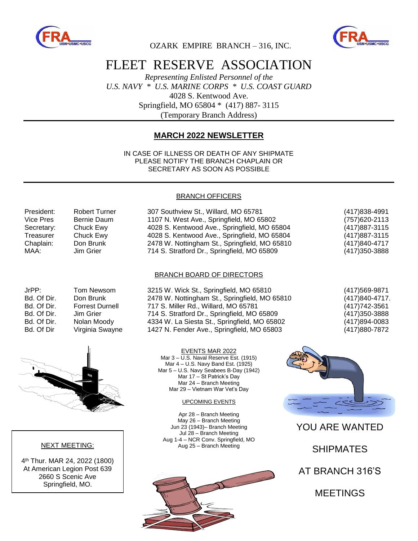



OZARK EMPIRE BRANCH – 316, INC.

# FLEET RESERVE ASSOCIATION

*Representing Enlisted Personnel of the U.S. NAVY \* U.S. MARINE CORPS \* U.S. COAST GUARD* 4028 S. Kentwood Ave. Springfield, MO 65804 \* (417) 887- 3115 (Temporary Branch Address)

### **MARCH 2022 NEWSLETTER**

IN CASE OF ILLNESS OR DEATH OF ANY SHIPMATE PLEASE NOTIFY THE BRANCH CHAPLAIN OR SECRETARY AS SOON AS POSSIBLE

#### BRANCH OFFICERS

| President: | <b>Robert Turner</b> | 307 Southview St., Willard, MO 65781          | (417) 838-4991 |
|------------|----------------------|-----------------------------------------------|----------------|
| Vice Pres  | Bernie Daum          | 1107 N. West Ave., Springfield, MO 65802      | (757) 620-2113 |
| Secretary: | Chuck Ewy            | 4028 S. Kentwood Ave., Springfield, MO 65804  | (417) 887-3115 |
| Treasurer  | Chuck Ewy            | 4028 S. Kentwood Ave., Springfield, MO 65804  | (417) 887-3115 |
| Chaplain:  | Don Brunk            | 2478 W. Nottingham St., Springfield, MO 65810 | (417)840-4717  |
| MAA:       | Jim Grier            | 714 S. Stratford Dr., Springfield, MO 65809   | (417) 350-3888 |

#### BRANCH BOARD OF DIRECTORS

| JrPP:       | <b>Tom Newson</b>    |
|-------------|----------------------|
| Bd. Of Dir. | Don Brunk            |
| Bd. Of Dir. | <b>Forrest Durne</b> |
| Bd. Of Dir. | Jim Grier            |
| Bd. Of Dir. | Nolan Moody          |
| Bd. Of Dir  | Virginia Sway        |
|             |                      |



#### NEXT MEETING:

4 th Thur. MAR 24, 2022 (1800) At American Legion Post 639 2660 S Scenic Ave Springfield, MO.

n 3215 W. Wick St., Springfield, MO 65810 (417)569-9871 2478 W. Nottingham St., Springfield, MO 65810 (417)840-4717. Bd. Of Dir. Forrest Durnell 717 S. Miller Rd., Willard, MO 65781 (417)742-3561 714 S. Stratford Dr., Springfield, MO 65809 (417)350-3888 4334 W. La Siesta St., Springfield, MO 65802 (417)894-0083 Bd. Of Dir Virginia Swayne 1427 N. Fender Ave., Springfield, MO 65803 (417)880-7872

> EVENTS MAR 2022 Mar 3 – U.S. Naval Reserve Est. (1915) Mar 4 – U.S. Navy Band Est. (1925) Mar 5 – U.S. Navy Seabees B-Day (1942) Mar 17 – St Patrick's Day Mar 24 – Branch Meeting Mar 29 – Vietnam War Vet's Day

#### UPCOMING EVENTS

Apr 28 – Branch Meeting May 26 – Branch Meeting Jun 23 (1943)– Branch Meeting Jul 28 – Branch Meeting Aug 1-4 – NCR Conv. Springfield, MO Aug 25 – Branch Meeting





YOU ARE WANTED

SHIPMATES

AT BRANCH 316'S

MEETINGS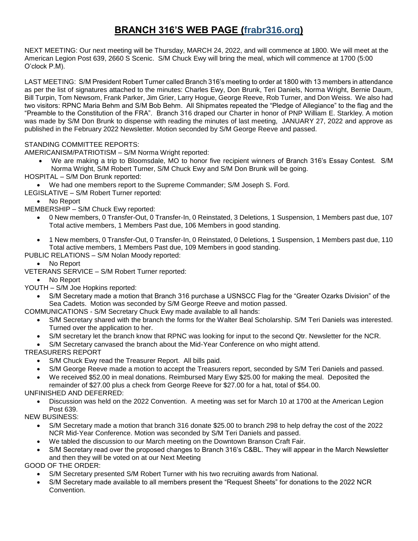## **BRANCH 316'S WEB PAGE (frabr316.org)**

NEXT MEETING: Our next meeting will be Thursday, MARCH 24, 2022, and will commence at 1800. We will meet at the American Legion Post 639, 2660 S Scenic. S/M Chuck Ewy will bring the meal, which will commence at 1700 (5:00 O'clock P.M).

LAST MEETING: S/M President Robert Turner called Branch 316's meeting to order at 1800 with 13 members in attendance as per the list of signatures attached to the minutes: Charles Ewy, Don Brunk, Teri Daniels, Norma Wright, Bernie Daum, Bill Turpin, Tom Newsom, Frank Parker, Jim Grier, Larry Hogue, George Reeve, Rob Turner, and Don Weiss. We also had two visitors: RPNC Maria Behm and S/M Bob Behm. All Shipmates repeated the "Pledge of Allegiance" to the flag and the "Preamble to the Constitution of the FRA". Branch 316 draped our Charter in honor of PNP William E. Starkley. A motion was made by S/M Don Brunk to dispense with reading the minutes of last meeting, JANUARY 27, 2022 and approve as published in the February 2022 Newsletter. Motion seconded by S/M George Reeve and passed.

#### STANDING COMMITTEE REPORTS:

AMERICANISM/PATRIOTISM – S/M Norma Wright reported:

- We are making a trip to Bloomsdale, MO to honor five recipient winners of Branch 316's Essay Contest. S/M Norma Wright, S/M Robert Turner, S/M Chuck Ewy and S/M Don Brunk will be going.
- HOSPITAL S/M Don Brunk reported:
- We had one members report to the Supreme Commander; S/M Joseph S. Ford.
- LEGISLATIVE S/M Robert Turner reported:

No Report

- MEMBERSHIP S/M Chuck Ewy reported:
	- 0 New members, 0 Transfer-Out, 0 Transfer-In, 0 Reinstated, 3 Deletions, 1 Suspension, 1 Members past due, 107 Total active members, 1 Members Past due, 106 Members in good standing.
	- 1 New members, 0 Transfer-Out, 0 Transfer-In, 0 Reinstated, 0 Deletions, 1 Suspension, 1 Members past due, 110 Total active members, 1 Members Past due, 109 Members in good standing.

PUBLIC RELATIONS – S/M Nolan Moody reported:

- No Report
- VETERANS SERVICE S/M Robert Turner reported:
- No Report
- YOUTH S/M Joe Hopkins reported:
	- S/M Secretary made a motion that Branch 316 purchase a USNSCC Flag for the "Greater Ozarks Division" of the Sea Cadets. Motion was seconded by S/M George Reeve and motion passed.
- COMMUNICATIONS S/M Secretary Chuck Ewy made available to all hands:
	- S/M Secretary shared with the branch the forms for the Walter Beal Scholarship. S/M Teri Daniels was interested. Turned over the application to her.
	- S/M secretary let the branch know that RPNC was looking for input to the second Qtr. Newsletter for the NCR.
	- S/M Secretary canvased the branch about the Mid-Year Conference on who might attend.

TREASURERS REPORT

- S/M Chuck Ewy read the Treasurer Report. All bills paid.
- S/M George Reeve made a motion to accept the Treasurers report, seconded by S/M Teri Daniels and passed.
- We received \$52.00 in meal donations. Reimbursed Mary Ewy \$25.00 for making the meal. Deposited the
- remainder of \$27.00 plus a check from George Reeve for \$27.00 for a hat, total of \$54.00. UNFINISHED AND DEFERRED:
	- Discussion was held on the 2022 Convention. A meeting was set for March 10 at 1700 at the American Legion Post 639.

NEW BUSINESS:

- S/M Secretary made a motion that branch 316 donate \$25.00 to branch 298 to help defray the cost of the 2022 NCR Mid-Year Conference. Motion was seconded by S/M Teri Daniels and passed.
- We tabled the discussion to our March meeting on the Downtown Branson Craft Fair.
- S/M Secretary read over the proposed changes to Branch 316's C&BL. They will appear in the March Newsletter and then they will be voted on at our Next Meeting

GOOD OF THE ORDER:

- S/M Secretary presented S/M Robert Turner with his two recruiting awards from National.
- S/M Secretary made available to all members present the "Request Sheets" for donations to the 2022 NCR Convention.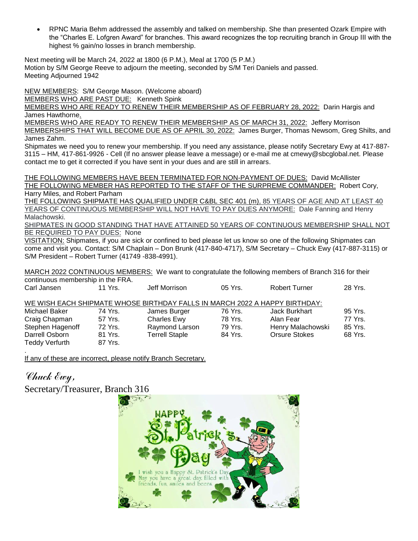RPNC Maria Behm addressed the assembly and talked on membership. She than presented Ozark Empire with the "Charles E. Lofgren Award" for branches. This award recognizes the top recruiting branch in Group III with the highest % gain/no losses in branch membership.

Next meeting will be March 24, 2022 at 1800 (6 P.M.), Meal at 1700 (5 P.M.) Motion by S/M George Reeve to adjourn the meeting, seconded by S/M Teri Daniels and passed. Meeting Adjourned 1942

NEW MEMBERS: S/M George Mason. (Welcome aboard)

MEMBERS WHO ARE PAST DUE: Kenneth Spink

MEMBERS WHO ARE READY TO RENEW THEIR MEMBERSHIP AS OF FEBRUARY 28, 2022: Darin Hargis and James Hawthorne.

MEMBERS WHO ARE READY TO RENEW THEIR MEMBERSHIP AS OF MARCH 31, 2022: Jeffery Morrison MEMBERSHIPS THAT WILL BECOME DUE AS OF APRIL 30, 2022: James Burger, Thomas Newsom, Greg Shilts, and James Zahm.

Shipmates we need you to renew your membership. If you need any assistance, please notify Secretary Ewy at 417-887- 3115 – HM, 417-861-9926 - Cell (If no answer please leave a message) or e-mail me at cmewy@sbcglobal.net. Please contact me to get it corrected if you have sent in your dues and are still in arrears.

THE FOLLOWING MEMBERS HAVE BEEN TERMINATED FOR NON-PAYMENT OF DUES: David McAllister THE FOLLOWING MEMBER HAS REPORTED TO THE STAFF OF THE SURPREME COMMANDER: Robert Cory, Harry Miles, and Robert Parham

THE FOLLOWING SHIPMATE HAS QUALIFIED UNDER C&BL SEC 401 (m), 85 YEARS OF AGE AND AT LEAST 40 YEARS OF CONTINUOUS MEMBERSHIP WILL NOT HAVE TO PAY DUES ANYMORE: Dale Fanning and Henry Malachowski.

SHIPMATES IN GOOD STANDING THAT HAVE ATTAINED 50 YEARS OF CONTINUOUS MEMBERSHIP SHALL NOT BE REQUIRED TO PAY DUES: None

VISITATION: Shipmates, if you are sick or confined to bed please let us know so one of the following Shipmates can come and visit you. Contact: S/M Chaplain – Don Brunk (417-840-4717), S/M Secretary – Chuck Ewy (417-887-3115) or S/M President – Robert Turner (41749 -838-4991).

MARCH 2022 CONTINUOUS MEMBERS: We want to congratulate the following members of Branch 316 for their continuous membership in the FRA.

| Carl Jansen           | 11 Yrs. | Jeff Morrison                                                              | $05$ Yrs. | <b>Robert Turner</b> | 28 Yrs. |
|-----------------------|---------|----------------------------------------------------------------------------|-----------|----------------------|---------|
|                       |         | WE WISH EACH SHIPMATE WHOSE BIRTHDAY FALLS IN MARCH 2022 A HAPPY BIRTHDAY: |           |                      |         |
| Michael Baker         | 74 Yrs. | James Burger                                                               | 76 Yrs.   | Jack Burkhart        | 95 Yrs. |
| Craig Chapman         | 57 Yrs. | <b>Charles Ewy</b>                                                         | 78 Yrs.   | Alan Fear            | 77 Yrs. |
| Stephen Hagenoff      | 72 Yrs. | Raymond Larson                                                             | 79 Yrs.   | Henry Malachowski    | 85 Yrs. |
| Darrell Osborn        | 81 Yrs. | <b>Terrell Staple</b>                                                      | 84 Yrs.   | <b>Orsure Stokes</b> | 68 Yrs. |
| <b>Teddy Verfurth</b> | 87 Yrs. |                                                                            |           |                      |         |
|                       |         |                                                                            |           |                      |         |

If any of these are incorrect, please notify Branch Secretary.

Chuck Ewy, Secretary/Treasurer, Branch 316

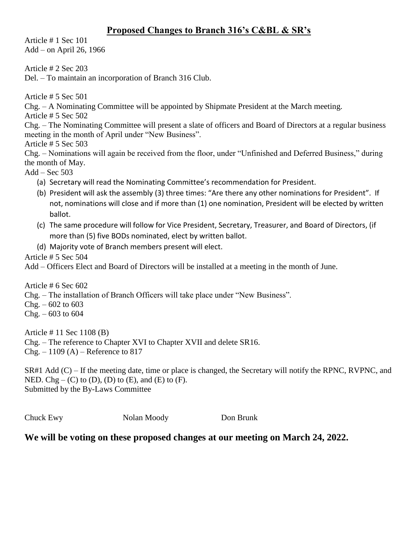## **Proposed Changes to Branch 316's C&BL & SR's**

Article # 1 Sec 101 Add – on April 26, 1966

Article # 2 Sec 203

Del. – To maintain an incorporation of Branch 316 Club.

Article # 5 Sec 501

Chg. – A Nominating Committee will be appointed by Shipmate President at the March meeting.

Article # 5 Sec 502

Chg. – The Nominating Committee will present a slate of officers and Board of Directors at a regular business meeting in the month of April under "New Business".

Article # 5 Sec 503

Chg. – Nominations will again be received from the floor, under "Unfinished and Deferred Business," during the month of May.

 $Add - Sec 503$ 

- (a) Secretary will read the Nominating Committee's recommendation for President.
- (b) President will ask the assembly (3) three times: "Are there any other nominations for President". If not, nominations will close and if more than (1) one nomination, President will be elected by written ballot.
- (c) The same procedure will follow for Vice President, Secretary, Treasurer, and Board of Directors, (if more than (5) five BODs nominated, elect by written ballot.

(d) Majority vote of Branch members present will elect.

Article # 5 Sec 504

Add – Officers Elect and Board of Directors will be installed at a meeting in the month of June.

Article # 6 Sec 602

Chg. – The installation of Branch Officers will take place under "New Business".

 $Chg. -602$  to 603

 $Chg. -603$  to 604

Article # 11 Sec 1108 (B) Chg. – The reference to Chapter XVI to Chapter XVII and delete SR16.  $Chg. - 1109 (A) -$ Reference to 817

SR#1 Add (C) – If the meeting date, time or place is changed, the Secretary will notify the RPNC, RVPNC, and NED. Chg – (C) to (D), (D) to (E), and (E) to (F). Submitted by the By-Laws Committee

Chuck Ewy Nolan Moody Don Brunk

### **We will be voting on these proposed changes at our meeting on March 24, 2022.**